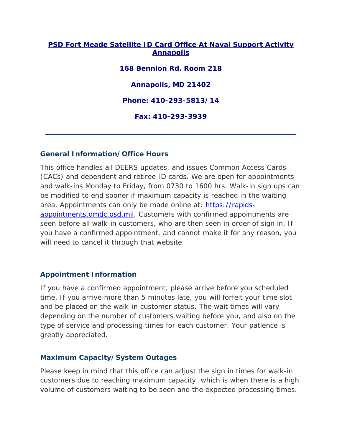### **PSD Fort Meade Satellite ID Card Office At Naval Support Activity Annapolis**

**168 Bennion Rd. Room 218 Annapolis, MD 21402 Phone: 410-293-5813/14 Fax: 410-293-3939**

### **General Information/Office Hours**

This office handles all DEERS updates, and issues Common Access Cards (CACs) and dependent and retiree ID cards. We are open for appointments and walk-ins Monday to Friday, from 0730 to 1600 hrs. Walk-in sign ups can be modified to end sooner if maximum capacity is reached in the waiting area. Appointments can only be made online at: [https://rapids](https://rapids-appointments.dmdc.osd.mil/)[appointments.dmdc.osd.mil.](https://rapids-appointments.dmdc.osd.mil/) Customers with confirmed appointments are seen before all walk-in customers, who are then seen in order of sign in. If you have a confirmed appointment, and cannot make it for any reason, you will need to cancel it through that website.

# **Appointment Information**

If you have a confirmed appointment, please arrive before you scheduled time. If you arrive more than 5 minutes late, you will forfeit your time slot and be placed on the walk-in customer status. The wait times will vary depending on the number of customers waiting before you, and also on the type of service and processing times for each customer. Your patience is greatly appreciated.

### **Maximum Capacity/System Outages**

Please keep in mind that this office can adjust the sign in times for walk-in customers due to reaching maximum capacity, which is when there is a high volume of customers waiting to be seen and the expected processing times.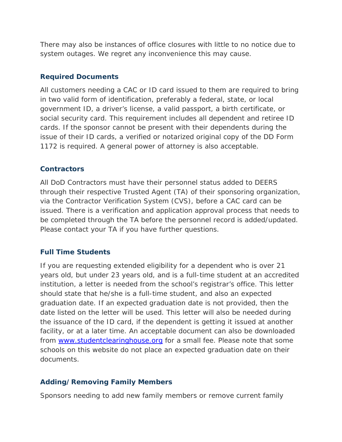There may also be instances of office closures with little to no notice due to system outages. We regret any inconvenience this may cause.

### **Required Documents**

All customers needing a CAC or ID card issued to them are required to bring in two valid form of identification, preferably a federal, state, or local government ID, a driver's license, a valid passport, a birth certificate, or social security card. This requirement includes all dependent and retiree ID cards. If the sponsor cannot be present with their dependents during the issue of their ID cards, a verified or notarized original copy of the DD Form 1172 is required. A general power of attorney is also acceptable.

### **Contractors**

All DoD Contractors must have their personnel status added to DEERS through their respective Trusted Agent (TA) of their sponsoring organization, via the Contractor Verification System (CVS), before a CAC card can be issued. There is a verification and application approval process that needs to be completed through the TA before the personnel record is added/updated. Please contact your TA if you have further questions.

# **Full Time Students**

If you are requesting extended eligibility for a dependent who is over 21 years old, but under 23 years old, and is a full-time student at an accredited institution, a letter is needed from the school's registrar's office. This letter should state that he/she is a full-time student, and also an expected graduation date. If an expected graduation date is not provided, then the date listed on the letter will be used. This letter will also be needed during the issuance of the ID card, if the dependent is getting it issued at another facility, or at a later time. An acceptable document can also be downloaded from [www.studentclearinghouse.org](http://www.studentclearinghouse.org/) for a small fee. Please note that some schools on this website do not place an expected graduation date on their documents.

# **Adding/Removing Family Members**

Sponsors needing to add new family members or remove current family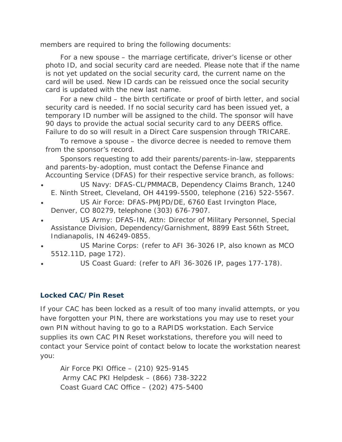members are required to bring the following documents:

For a new spouse – the marriage certificate, driver's license or other photo ID, and social security card are needed. Please note that if the name is not yet updated on the social security card, the current name on the card will be used. New ID cards can be reissued once the social security card is updated with the new last name.

For a new child – the birth certificate or proof of birth letter, and social security card is needed. If no social security card has been issued yet, a temporary ID number will be assigned to the child. The sponsor will have 90 days to provide the actual social security card to any DEERS office. Failure to do so will result in a Direct Care suspension through TRICARE.

To remove a spouse – the divorce decree is needed to remove them from the sponsor's record.

Sponsors requesting to add their parents/parents-in-law, stepparents and parents-by-adoption, must contact the Defense Finance and Accounting Service (DFAS) for their respective service branch, as follows:

- US Navy: DFAS-CL/PMMACB, Dependency Claims Branch, 1240 E. Ninth Street, Cleveland, OH 44199-5500, telephone (216) 522-5567.
- US Air Force: DFAS-PMJPD/DE, 6760 East Irvington Place, Denver, CO 80279, telephone (303) 676-7907.
- US Army: DFAS-IN, Attn: Director of Military Personnel, Special Assistance Division, Dependency/Garnishment, 8899 East 56th Street, Indianapolis, IN 46249-0855.
- US Marine Corps: (refer to AFI 36-3026 IP, also known as MCO 5512.11D, page 172).
- US Coast Guard: (refer to AFI 36-3026 IP, pages 177-178).

#### **Locked CAC/Pin Reset**

If your CAC has been locked as a result of too many invalid attempts, or you have forgotten your PIN, there are workstations you may use to reset your own PIN without having to go to a RAPIDS workstation. Each Service supplies its own CAC PIN Reset workstations, therefore you will need to contact your Service point of contact below to locate the workstation nearest you:

Air Force PKI Office – (210) 925-9145 Army CAC PKI Helpdesk – (866) 738-3222 Coast Guard CAC Office – (202) 475-5400